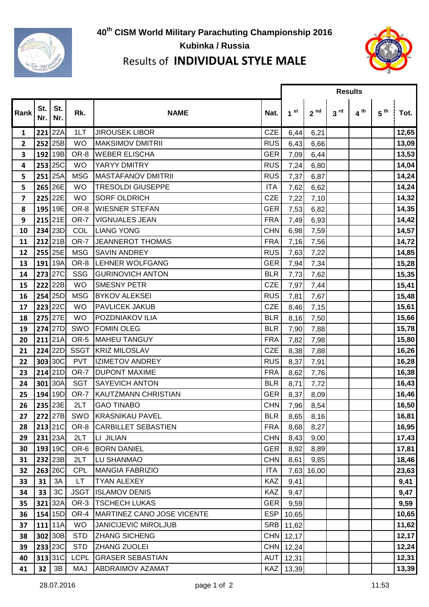

## **th CISM World Military Parachuting Championship 2016 Kubinka / Russia**



## Results of **INDIVIDUAL STYLE MALE**

Г

|                         |            |                |             |                             |            | <b>Results</b>  |                 |                 |                 |                 |       |
|-------------------------|------------|----------------|-------------|-----------------------------|------------|-----------------|-----------------|-----------------|-----------------|-----------------|-------|
| Rank                    | St.<br>Nr. | St.<br>Nr.     | Rk.         | <b>NAME</b>                 | Nat.       | 1 <sup>st</sup> | 2 <sup>nd</sup> | 3 <sup>rd</sup> | 4 <sup>th</sup> | 5 <sup>th</sup> | Tot.  |
| 1                       |            | $221$ 22A      | 1LT         | <b>JIROUSEK LIBOR</b>       | <b>CZE</b> | 6,44            | 6,21            |                 |                 |                 | 12,65 |
| $\mathbf{2}$            |            | 252 25B        | <b>WO</b>   | <b>MAKSIMOV DMITRII</b>     | <b>RUS</b> | 6,43            | 6,66            |                 |                 |                 | 13,09 |
| 3                       |            | 192 19B        | OR-8        | <b>WEBER ELISCHA</b>        | <b>GER</b> | 7,09            | 6,44            |                 |                 |                 | 13,53 |
| 4                       |            | 253 25C        | <b>WO</b>   | YARYY DMITRY                | <b>RUS</b> | 7,24            | 6,80            |                 |                 |                 | 14,04 |
| 5                       |            | $251$ 25A      | <b>MSG</b>  | <b>MASTAFANOV DMITRII</b>   | <b>RUS</b> | 7,37            | 6,87            |                 |                 |                 | 14,24 |
| 5                       |            | 265 26E        | <b>WO</b>   | <b>TRESOLDI GIUSEPPE</b>    | <b>ITA</b> | 7,62            | 6,62            |                 |                 |                 | 14,24 |
| $\overline{\mathbf{z}}$ |            | 225 22E        | <b>WO</b>   | <b>SORF OLDRICH</b>         | <b>CZE</b> | 7,22            | 7,10            |                 |                 |                 | 14,32 |
| 8                       |            | 195 19E        | OR-8        | <b>WIESNER STEFAN</b>       | <b>GER</b> | 7,53            | 6,82            |                 |                 |                 | 14,35 |
| 9                       |            | 215 21E        | OR-7        | <b>VIGNUALES JEAN</b>       | <b>FRA</b> | 7,49            | 6,93            |                 |                 |                 | 14,42 |
| 10                      |            | 234 23D        | <b>COL</b>  | <b>LIANG YONG</b>           | <b>CHN</b> | 6,98            | 7,59            |                 |                 |                 | 14,57 |
| 11                      |            | $212$  21B     | OR-7        | <b>JEANNEROT THOMAS</b>     | <b>FRA</b> | 7,16            | 7,56            |                 |                 |                 | 14,72 |
| 12                      |            | 255 25E        | <b>MSG</b>  | <b>SAVIN ANDREY</b>         | <b>RUS</b> | 7,63            | 7,22            |                 |                 |                 | 14,85 |
| 13                      |            | 191 19A        | OR-8        | LEHNER WOLFGANG             | <b>GER</b> | 7,94            | 7,34            |                 |                 |                 | 15,28 |
| 14                      |            | 273 27C        | SSG         | <b>GURINOVICH ANTON</b>     | <b>BLR</b> | 7,73            | 7,62            |                 |                 |                 | 15,35 |
| 15                      |            | 222 22B        | <b>WO</b>   | <b>SMESNY PETR</b>          | <b>CZE</b> | 7,97            | 7,44            |                 |                 |                 | 15,41 |
| 16                      |            | 254 25D        | <b>MSG</b>  | <b>BYKOV ALEKSEI</b>        | <b>RUS</b> | 7,81            | 7,67            |                 |                 |                 | 15,48 |
| 17                      |            | 223 22C        | <b>WO</b>   | <b>PAVLICEK JAKUB</b>       | <b>CZE</b> | 8,46            | 7,15            |                 |                 |                 | 15,61 |
| 18                      |            | 275 27E        | <b>WO</b>   | <b>POZDNIAKOV ILIA</b>      | <b>BLR</b> | 8,16            | 7,50            |                 |                 |                 | 15,66 |
| 19                      |            | 274 27D        | SWO         | <b>FOMIN OLEG</b>           | <b>BLR</b> | 7,90            | 7,88            |                 |                 |                 | 15,78 |
| 20                      |            | $211$ 21A      | OR-5        | <b>MAHEU TANGUY</b>         | <b>FRA</b> | 7,82            | 7,98            |                 |                 |                 | 15,80 |
| 21                      |            | 224 22D        | <b>SSGT</b> | <b>KRIZ MILOSLAV</b>        | <b>CZE</b> | 8,38            | 7,88            |                 |                 |                 | 16,26 |
| 22                      |            | 303 30C        | <b>PVT</b>  | <b>IZIMETOV ANDREY</b>      | <b>RUS</b> | 8,37            | 7,91            |                 |                 |                 | 16,28 |
| 23                      |            | $214$ 21D      | OR-7        | <b>DUPONT MAXIME</b>        | <b>FRA</b> | 8,62            | 7,76            |                 |                 |                 | 16,38 |
| 24                      |            | 301 30A        | <b>SGT</b>  | <b>SAYEVICH ANTON</b>       | <b>BLR</b> | 8,71            | 7,72            |                 |                 |                 | 16,43 |
| 25                      |            | 194 19D        | OR-7        | KAUTZMANN CHRISTIAN         | <b>GER</b> | 8,37            | 8,09            |                 |                 |                 | 16,46 |
| 26                      |            | 235 23E        | 2LT         | <b>GAO TINABO</b>           | <b>CHN</b> | 7,96            | 8,54            |                 |                 |                 | 16,50 |
| 27                      |            |                |             | 272 27B SWO KRASNIKAU PAVEL | <b>BLR</b> | 8,65            | 8,16            |                 |                 |                 | 16,81 |
| 28                      |            | 213 21C        |             | OR-8 CARBILLET SEBASTIEN    | <b>FRA</b> | 8,68            | 8,27            |                 |                 |                 | 16,95 |
| 29                      |            | $231$ 23A      | 2LT         | <b>LI JILIAN</b>            | <b>CHN</b> | 8,43            | 9,00            |                 |                 |                 | 17,43 |
| 30                      |            | 193 19C        | OR-6        | <b>BORN DANIEL</b>          | <b>GER</b> | 8,92            | 8,89            |                 |                 |                 | 17,81 |
| 31                      |            | 232 23B        | 2LT         | <b>LU SHANMAO</b>           | <b>CHN</b> | 8,61            | 9,85            |                 |                 |                 | 18,46 |
| 32                      |            | 263 26C        | <b>CPL</b>  | <b>MANGIA FABRIZIO</b>      | <b>ITA</b> |                 | 7,63 16,00      |                 |                 |                 | 23,63 |
| 33                      | 31         | 3A             | LT.         | <b>TYAN ALEXEY</b>          | <b>KAZ</b> | 9,41            |                 |                 |                 |                 | 9,41  |
| 34                      | 33         | 3C             | <b>JSGT</b> | <b>ISLAMOV DENIS</b>        | <b>KAZ</b> | 9,47            |                 |                 |                 |                 | 9,47  |
| 35                      |            | $321$ 32A      | OR-3        | <b>TSCHECH LUKAS</b>        | <b>GER</b> | 9,59            |                 |                 |                 |                 | 9,59  |
| 36                      |            | 154 15D        | OR-4        | MARTINEZ CANO JOSE VICENTE  | <b>ESP</b> | 10,65           |                 |                 |                 |                 | 10,65 |
| 37                      |            | $111$   11A    | <b>WO</b>   | JANICIJEVIC MIROLJUB        | <b>SRB</b> | 11,62           |                 |                 |                 |                 | 11,62 |
| 38                      |            | 302 30B        | <b>STD</b>  | <b>ZHANG SICHENG</b>        |            | CHN 12,17       |                 |                 |                 |                 | 12,17 |
| 39                      |            | <b>233 23C</b> | <b>STD</b>  | <b>ZHANG ZUOLEI</b>         |            | CHN 12,24       |                 |                 |                 |                 | 12,24 |
| 40                      |            | 313 31C        | <b>LCPL</b> | <b>GRASER SEBASTIAN</b>     | AUT        | 12,31           |                 |                 |                 |                 | 12,31 |
| 41                      | 32         | 3B             | MAJ         | <b>ABDRAIMOV AZAMAT</b>     | <b>KAZ</b> | 13,39           |                 |                 |                 |                 | 13,39 |